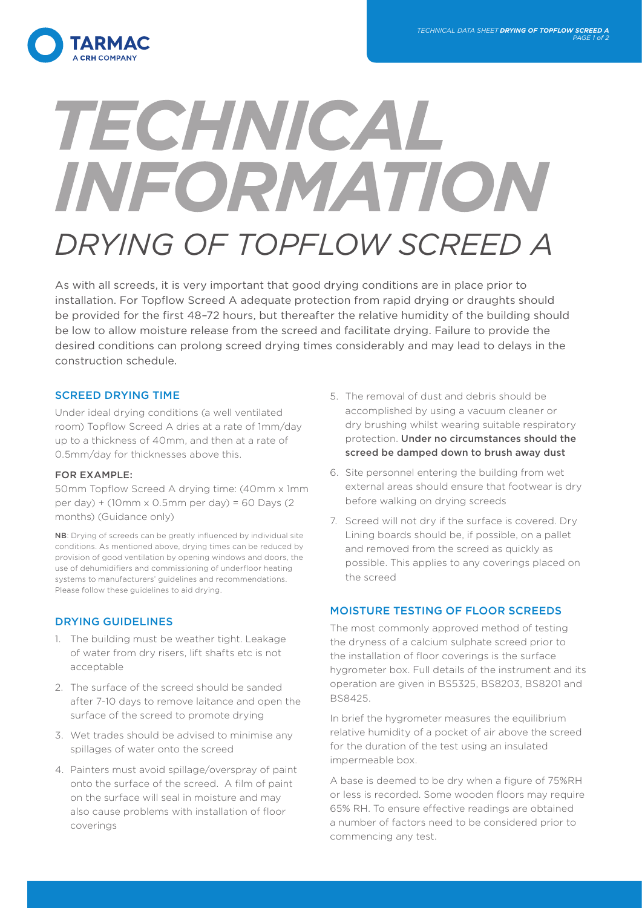

# TECHNICAL INFORMATION *DRYING OF TOPFLOW SCREED A*

As with all screeds, it is very important that good drying conditions are in place prior to installation. For Topflow Screed A adequate protection from rapid drying or draughts should be provided for the first 48–72 hours, but thereafter the relative humidity of the building should be low to allow moisture release from the screed and facilitate drying. Failure to provide the desired conditions can prolong screed drying times considerably and may lead to delays in the construction schedule.

# SCREED DRYING TIME

Under ideal drying conditions (a well ventilated room) Topflow Screed A dries at a rate of 1mm/day up to a thickness of 40mm, and then at a rate of 0.5mm/day for thicknesses above this.

## FOR EXAMPLE:

50mm Topflow Screed A drying time: (40mm x 1mm per day) + (10mm x 0.5mm per day) = 60 Days (2 months) (Guidance only)

NB: Drying of screeds can be greatly influenced by individual site conditions. As mentioned above, drying times can be reduced by provision of good ventilation by opening windows and doors, the use of dehumidifiers and commissioning of underfloor heating systems to manufacturers' guidelines and recommendations. Please follow these guidelines to aid drying.

## DRYING GUIDELINES

- 1. The building must be weather tight. Leakage of water from dry risers, lift shafts etc is not acceptable
- 2. The surface of the screed should be sanded after 7-10 days to remove laitance and open the surface of the screed to promote drying
- 3. Wet trades should be advised to minimise any spillages of water onto the screed
- 4. Painters must avoid spillage/overspray of paint onto the surface of the screed. A film of paint on the surface will seal in moisture and may also cause problems with installation of floor coverings
- 5. The removal of dust and debris should be accomplished by using a vacuum cleaner or dry brushing whilst wearing suitable respiratory protection. Under no circumstances should the screed be damped down to brush away dust
- 6. Site personnel entering the building from wet external areas should ensure that footwear is dry before walking on drying screeds
- 7. Screed will not dry if the surface is covered. Dry Lining boards should be, if possible, on a pallet and removed from the screed as quickly as possible. This applies to any coverings placed on the screed

# MOISTURE TESTING OF FLOOR SCREEDS

The most commonly approved method of testing the dryness of a calcium sulphate screed prior to the installation of floor coverings is the surface hygrometer box. Full details of the instrument and its operation are given in BS5325, BS8203, BS8201 and BS8425.

In brief the hygrometer measures the equilibrium relative humidity of a pocket of air above the screed for the duration of the test using an insulated impermeable box.

A base is deemed to be dry when a figure of 75%RH or less is recorded. Some wooden floors may require 65% RH. To ensure effective readings are obtained a number of factors need to be considered prior to commencing any test.